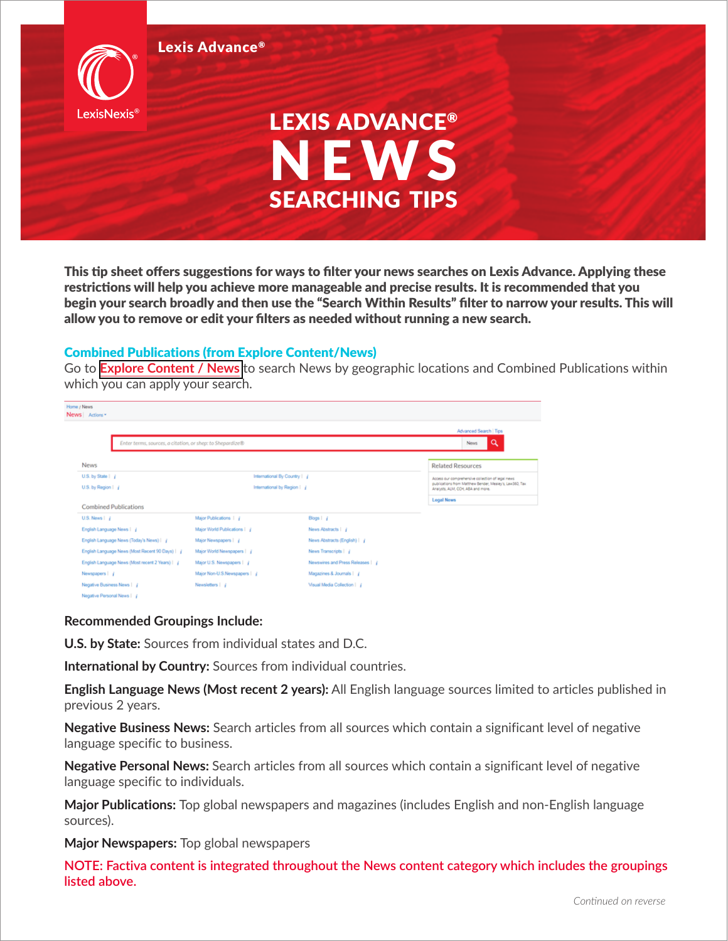

This tip sheet offers suggestions for ways to filter your news searches on Lexis Advance. Applying these restrictions will help you achieve more manageable and precise results. It is recommended that you begin your search broadly and then use the "Search Within Results" filter to narrow your results. This will allow you to remove or edit your filters as needed without running a new search.

## Combined Publications (from Explore Content/News)

Go to **[Explore Content / News](https://advance.lexis.com/api/permalink/3e05418a-98a9-473c-b1e7-a89cc49329b8/?context=1000516)** to search News by geographic locations and Combined Publications within which you can apply your search.

| Home / News<br>News Actions                     |                                                           |                              |                                  |                                                                                                              |
|-------------------------------------------------|-----------------------------------------------------------|------------------------------|----------------------------------|--------------------------------------------------------------------------------------------------------------|
|                                                 |                                                           | Advanced Search   Tips       |                                  |                                                                                                              |
|                                                 | Enter terms, sources, a citation, or shep: to Shepardize® |                              |                                  | a<br><b>News</b>                                                                                             |
| <b>News</b>                                     |                                                           |                              |                                  | <b>Related Resources</b>                                                                                     |
| U.S. by State   /                               |                                                           | International By Country   j |                                  | Access our comprehensive collection of legal news<br>publications from Matthew Bender, Mealey's, Law360, Tax |
|                                                 | U.S. by Region   j<br>International by Region   j         |                              |                                  | Analysts, ALM, COH, ABA and more.                                                                            |
| <b>Combined Publications</b>                    |                                                           |                              |                                  | <b>Legal News</b>                                                                                            |
| $U.S.$ News $\mid$ $i$                          |                                                           | Major Publications   j       | Blogs   j                        |                                                                                                              |
| English Language News   j                       |                                                           | Major World Publications   j | News Abstracts   j               |                                                                                                              |
| English Language News (Today's News)   j        |                                                           | Major Newspapers   j         | News Abstracts (English)   j     |                                                                                                              |
| English Language News (Most Recent 90 Days)   j |                                                           | Major World Newspapers   /   | News Transcripts   j             |                                                                                                              |
| English Language News (Most recent 2 Years)   / |                                                           | Major U.S. Newspapers   /    | Newswires and Press Releases   J |                                                                                                              |
| Newspapers   j                                  |                                                           | Major Non-U.S.Newspapers   j | Magazines & Journals   j         |                                                                                                              |
| Negative Business News   j                      |                                                           | Newsletters   j              | Visual Media Collection   j      |                                                                                                              |
|                                                 |                                                           |                              |                                  |                                                                                                              |

## **Recommended Groupings Include:**

**U.S. by State:** Sources from individual states and D.C.

**International by Country:** Sources from individual countries.

**English Language News (Most recent 2 years):** All English language sources limited to articles published in previous 2 years.

**Negative Business News:** Search articles from all sources which contain a significant level of negative language specific to business.

**Negative Personal News:** Search articles from all sources which contain a significant level of negative language specific to individuals.

**Major Publications:** Top global newspapers and magazines (includes English and non-English language sources).

**Major Newspapers:** Top global newspapers

**NOTE: Factiva content is integrated throughout the News content category which includes the groupings listed above.**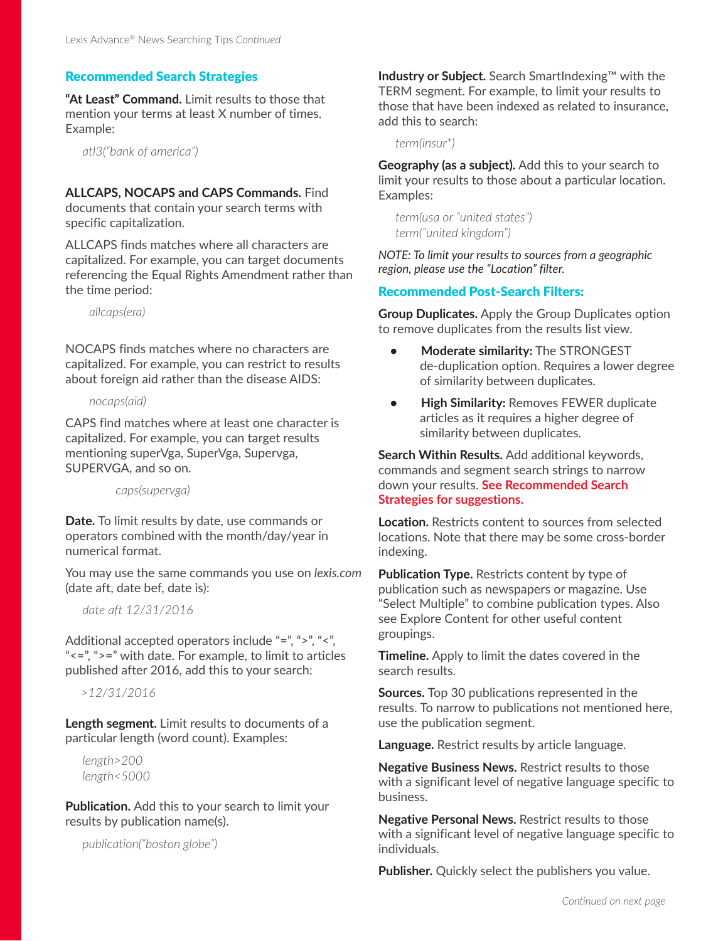### Recommended Search Strategies

**"At Least" Command.** Limit results to those that mention your terms at least X number of times. Example:

 *atl3("bank of america")*

# **ALLCAPS, NOCAPS and CAPS Commands.** Find

documents that contain your search terms with specific capitalization.

ALLCAPS finds matches where all characters are capitalized. For example, you can target documents referencing the Equal Rights Amendment rather than the time period:

*allcaps(era)*

NOCAPS finds matches where no characters are capitalized. For example, you can restrict to results about foreign aid rather than the disease AIDS:

#### *nocaps(aid)*

CAPS find matches where at least one character is capitalized. For example, you can target results mentioning superVga, SuperVga, Supervga, SUPERVGA, and so on.

 *caps(supervga)*

**Date.** To limit results by date, use commands or operators combined with the month/day/year in numerical format.

You may use the same commands you use on *lexis.com* (date aft, date bef, date is):

 *date aft 12/31/2016*

Additional accepted operators include "=", ">", "<", "<=", ">=" with date. For example, to limit to articles published after 2016, add this to your search:

*>12/31/2016* 

**Length segment.** Limit results to documents of a particular length (word count). Examples:

 *length>200 length<5000*

**Publication.** Add this to your search to limit your results by publication name(s).

 *publication("boston globe")*

**Industry or Subject.** Search SmartIndexing™ with the TERM segment. For example, to limit your results to those that have been indexed as related to insurance, add this to search:

*term(insur\*)*

**Geography (as a subject).** Add this to your search to limit your results to those about a particular location. Examples:

*term(usa or "united states") term("united kingdom")*

*NOTE: To limit your results to sources from a geographic region, please use the "Location" filter.*

## Recommended Post-Search Filters:

**Group Duplicates.** Apply the Group Duplicates option to remove duplicates from the results list view.

- **Moderate similarity:** The STRONGEST de-duplication option. Requires a lower degree of similarity between duplicates.
- **High Similarity:** Removes FEWER duplicate articles as it requires a higher degree of similarity between duplicates.

**Search Within Results.** Add additional keywords, commands and segment search strings to narrow down your results. **See Recommended Search Strategies for suggestions.**

**Location.** Restricts content to sources from selected locations. Note that there may be some cross-border indexing.

**Publication Type.** Restricts content by type of publication such as newspapers or magazine. Use "Select Multiple" to combine publication types. Also see Explore Content for other useful content groupings.

**Timeline.** Apply to limit the dates covered in the search results.

**Sources.** Top 30 publications represented in the results. To narrow to publications not mentioned here, use the publication segment.

**Language.** Restrict results by article language.

**Negative Business News.** Restrict results to those with a significant level of negative language specific to business.

**Negative Personal News.** Restrict results to those with a significant level of negative language specific to individuals.

**Publisher.** Quickly select the publishers you value.